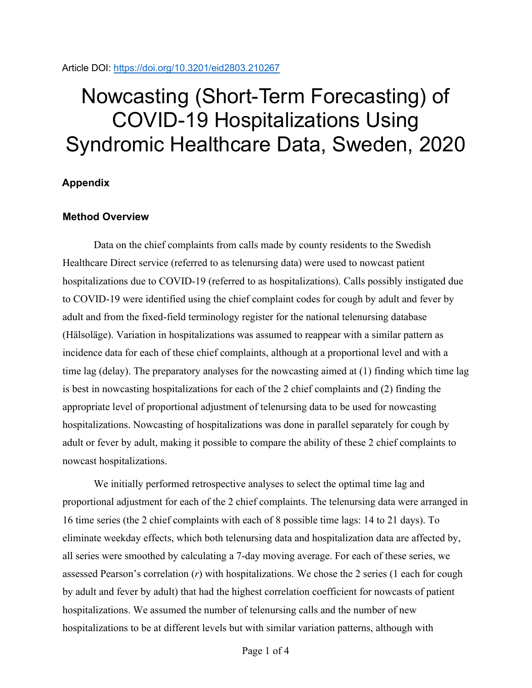# Nowcasting (Short-Term Forecasting) of COVID-19 Hospitalizations Using Syndromic Healthcare Data, Sweden, 2020

## **Appendix**

### **Method Overview**

Data on the chief complaints from calls made by county residents to the Swedish Healthcare Direct service (referred to as telenursing data) were used to nowcast patient hospitalizations due to COVID-19 (referred to as hospitalizations). Calls possibly instigated due to COVID-19 were identified using the chief complaint codes for cough by adult and fever by adult and from the fixed-field terminology register for the national telenursing database (Hälsoläge). Variation in hospitalizations was assumed to reappear with a similar pattern as incidence data for each of these chief complaints, although at a proportional level and with a time lag (delay). The preparatory analyses for the nowcasting aimed at (1) finding which time lag is best in nowcasting hospitalizations for each of the 2 chief complaints and (2) finding the appropriate level of proportional adjustment of telenursing data to be used for nowcasting hospitalizations. Nowcasting of hospitalizations was done in parallel separately for cough by adult or fever by adult, making it possible to compare the ability of these 2 chief complaints to nowcast hospitalizations.

We initially performed retrospective analyses to select the optimal time lag and proportional adjustment for each of the 2 chief complaints. The telenursing data were arranged in 16 time series (the 2 chief complaints with each of 8 possible time lags: 14 to 21 days). To eliminate weekday effects, which both telenursing data and hospitalization data are affected by, all series were smoothed by calculating a 7-day moving average. For each of these series, we assessed Pearson's correlation (*r*) with hospitalizations. We chose the 2 series (1 each for cough by adult and fever by adult) that had the highest correlation coefficient for nowcasts of patient hospitalizations. We assumed the number of telenursing calls and the number of new hospitalizations to be at different levels but with similar variation patterns, although with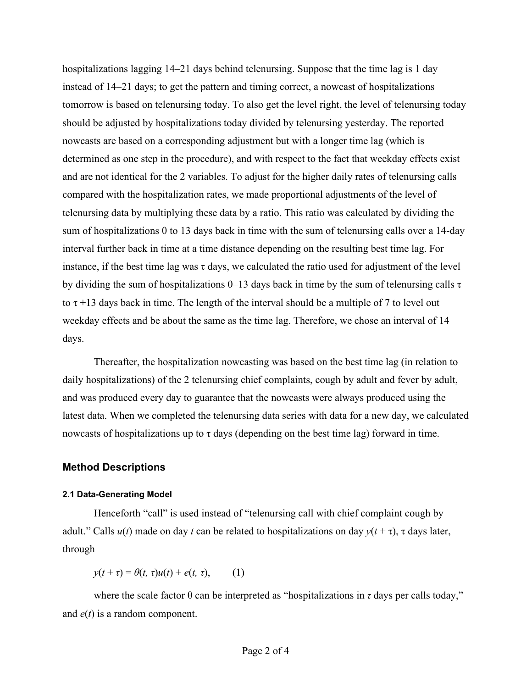hospitalizations lagging 14–21 days behind telenursing. Suppose that the time lag is 1 day instead of 14–21 days; to get the pattern and timing correct, a nowcast of hospitalizations tomorrow is based on telenursing today. To also get the level right, the level of telenursing today should be adjusted by hospitalizations today divided by telenursing yesterday. The reported nowcasts are based on a corresponding adjustment but with a longer time lag (which is determined as one step in the procedure), and with respect to the fact that weekday effects exist and are not identical for the 2 variables. To adjust for the higher daily rates of telenursing calls compared with the hospitalization rates, we made proportional adjustments of the level of telenursing data by multiplying these data by a ratio. This ratio was calculated by dividing the sum of hospitalizations 0 to 13 days back in time with the sum of telenursing calls over a 14-day interval further back in time at a time distance depending on the resulting best time lag. For instance, if the best time lag was  $\tau$  days, we calculated the ratio used for adjustment of the level by dividing the sum of hospitalizations  $0-13$  days back in time by the sum of telenursing calls  $\tau$ to  $\tau$  +13 days back in time. The length of the interval should be a multiple of 7 to level out weekday effects and be about the same as the time lag. Therefore, we chose an interval of 14 days.

Thereafter, the hospitalization nowcasting was based on the best time lag (in relation to daily hospitalizations) of the 2 telenursing chief complaints, cough by adult and fever by adult, and was produced every day to guarantee that the nowcasts were always produced using the latest data. When we completed the telenursing data series with data for a new day, we calculated nowcasts of hospitalizations up to  $\tau$  days (depending on the best time lag) forward in time.

#### **Method Descriptions**

#### **2.1 Data-Generating Model**

Henceforth "call" is used instead of "telenursing call with chief complaint cough by adult." Calls  $u(t)$  made on day *t* can be related to hospitalizations on day  $y(t + \tau)$ ,  $\tau$  days later, through

*y*(*t* + *τ*) =  $\theta(t, \tau)u(t) + e(t, \tau)$ , (1)

where the scale factor  $\theta$  can be interpreted as "hospitalizations in  $\tau$  days per calls today," and *e*(*t*) is a random component.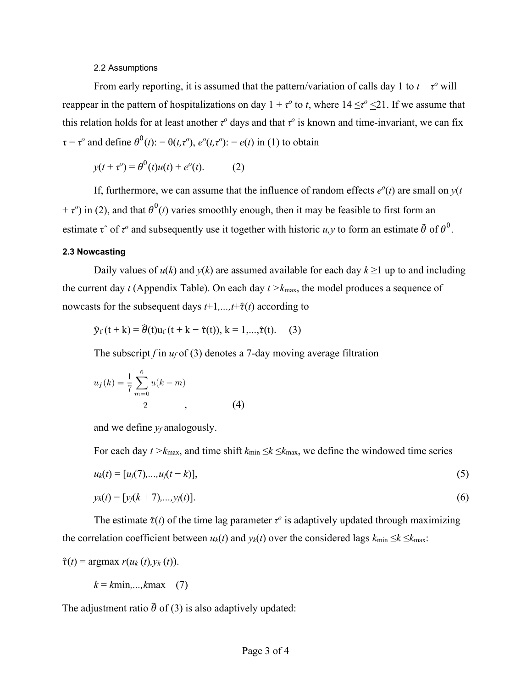#### 2.2 Assumptions

From early reporting, it is assumed that the pattern/variation of calls day 1 to  $t - \tau^o$  will reappear in the pattern of hospitalizations on day  $1 + \tau^{\circ}$  to *t*, where  $14 \leq \tau^{\circ} \leq 21$ . If we assume that this relation holds for at least another *τ*<sup>*o*</sup> days and that *τ*<sup>*o*</sup> is known and time-invariant, we can fix  $\tau = \tau^{\circ}$  and define  $\theta^0(t)$ : =  $\theta(t, \tau^{\circ})$ ,  $e^{\circ}(t, \tau^{\circ})$ : =  $e(t)$  in (1) to obtain

$$
y(t + \tau^o) = \theta^0(t)u(t) + e^o(t).
$$
 (2)

If, furthermore, we can assume that the influence of random effects  $e^{o}(t)$  are small on  $y(t)$  $+ \tau^{\circ}$ ) in (2), and that  $\theta^0(t)$  varies smoothly enough, then it may be feasible to first form an estimate  $\tau$  of  $\tau^o$  and subsequently use it together with historic *u*,*y* to form an estimate  $\hat{\theta}$  of  $\theta^0$ .

#### **2.3 Nowcasting**

Daily values of  $u(k)$  and  $y(k)$  are assumed available for each day  $k \ge 1$  up to and including the current day *t* (Appendix Table). On each day *t >k*max, the model produces a sequence of nowcasts for the subsequent days  $t+1$ ,..., $t+\hat{\tau}(t)$  according to

$$
\widehat{y}_f(t+k) = \widehat{\theta}(t)u_f(t+k-\widehat{\tau}(t)), k = 1,...,\widehat{\tau}(t). \quad (3)
$$

The subscript *f* in *uf* of (3) denotes a 7-day moving average filtration

$$
u_f(k) = \frac{1}{7} \sum_{m=0}^{6} u(k-m)
$$
  
2, (4)

and we define *yf* analogously.

For each day  $t > k_{\text{max}}$ , and time shift  $k_{\text{min}} \leq k \leq k_{\text{max}}$ , we define the windowed time series

$$
u_k(t) = [u_j(7),...,u_j(t-k)], \qquad (5)
$$

$$
y_k(t) = [y_j(k+7),...,y_j(t)].
$$
\n(6)

The estimate  $\hat{\tau}(t)$  of the time lag parameter  $\tau^o$  is adaptively updated through maximizing the correlation coefficient between  $u_k(t)$  and  $y_k(t)$  over the considered lags  $k_{\min} \leq k \leq k_{\max}$ :

$$
\hat{\tau}(t) = \operatorname{argmax} r(u_k(t), y_k(t)).
$$

 $k = kmin, \ldots, kmax$  (7)

The adjustment ratio  $\hat{\theta}$  of (3) is also adaptively updated: